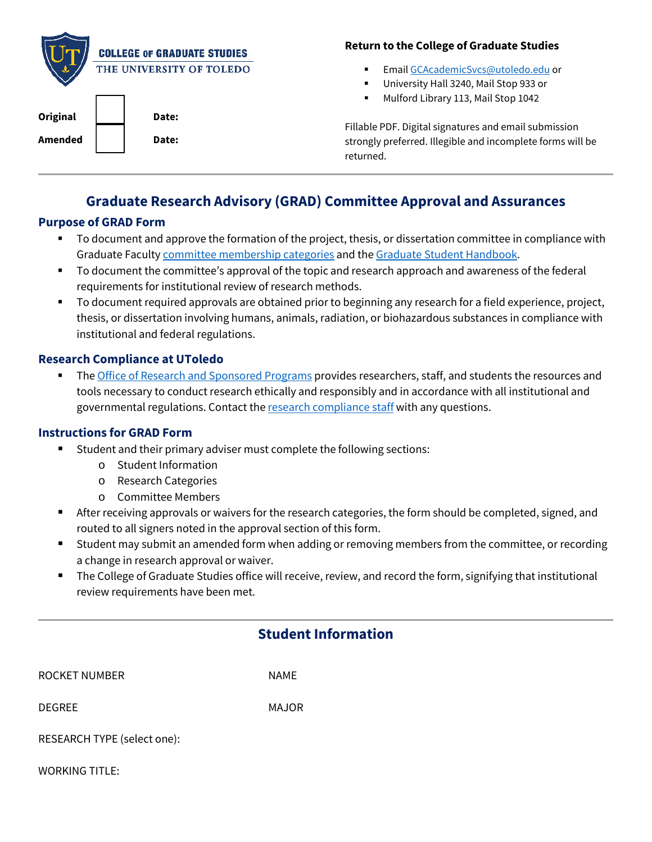|                | <b>COLLEGE OF GRADUATE STUDIES</b> | <b>Return to the Co</b>       |
|----------------|------------------------------------|-------------------------------|
|                | THE UNIVERSITY OF TOLEDO           | Email GCA<br>$\blacksquare$   |
|                |                                    | University<br>٠               |
|                |                                    | Mulford Lil<br>$\blacksquare$ |
| Original       | Date:                              |                               |
|                |                                    | Fillable PDF. Digital         |
| <b>Amended</b> | Date:                              | strongly preferred.           |
|                |                                    | returned.                     |

#### **Return to Graduate Studies**

- cademicSvcs@utoledo.edu or
- Hall 3240, Mail Stop 933 or
- brary 113, Mail Stop 1042

signatures and email submission Illegible and incomplete forms will be

# **Graduate Research Advisory (GRAD) Committee Approval and Assurances**

#### **Purpose of GRAD Form**

- To document and approve the formation of the project, thesis, or dissertation committee in compliance with Graduate Faculty [committee membership categories](http://www.utoledo.edu/graduate/forms/Graduate%20Faculty%20Membership%20Categories_11.29.2016.pdf) and th[e Graduate Student Handbook.](http://www.utoledo.edu/graduate/files/Graduate%20Student%20Handbook%202018-2019.pdf)
- To document the committee's approval of the topic and research approach and awareness of the federal requirements for institutional review of research methods.
- To document required approvals are obtained prior to beginning any research for a field experience, project, thesis, or dissertation involving humans, animals, radiation, or biohazardous substances in compliance with institutional and federal regulations.

### **Research Compliance at UToledo**

Th[e Office of Research and Sponsored Programs](http://www.utoledo.edu/research/rsp/researchcompliance.html) provides researchers, staff, and students the resources and governmental regulations. Contact th[e](http://www.utoledo.edu/research/rsp/compliancestaff.html) <u>research compliance staff</u> with any questions. tools necessary to conduct research ethically and responsibly and in accordance with all institutional and

### **Instructions for GRAD Form**

- Student and their primary adviser must complete the following sections:
	- o Student Information
	- o Research Categories
	- o Committee Members
- After receiving approvals or waivers for the research categories, the form should be completed, signed, and routed to all signers noted in the approval section of this form.
- Student may submit an amended form when adding or removing members from the committee, or recording a change in research approval or waiver.
- The College of Graduate Studies office will receive, review, and record the form, signifying that institutional review requirements have been met.

| ROCKET NUMBER | <b>NAME</b> |
|---------------|-------------|
|               |             |

DEGREE MAJOR

RESEARCH TYPE (select one):

WORKING TITLE: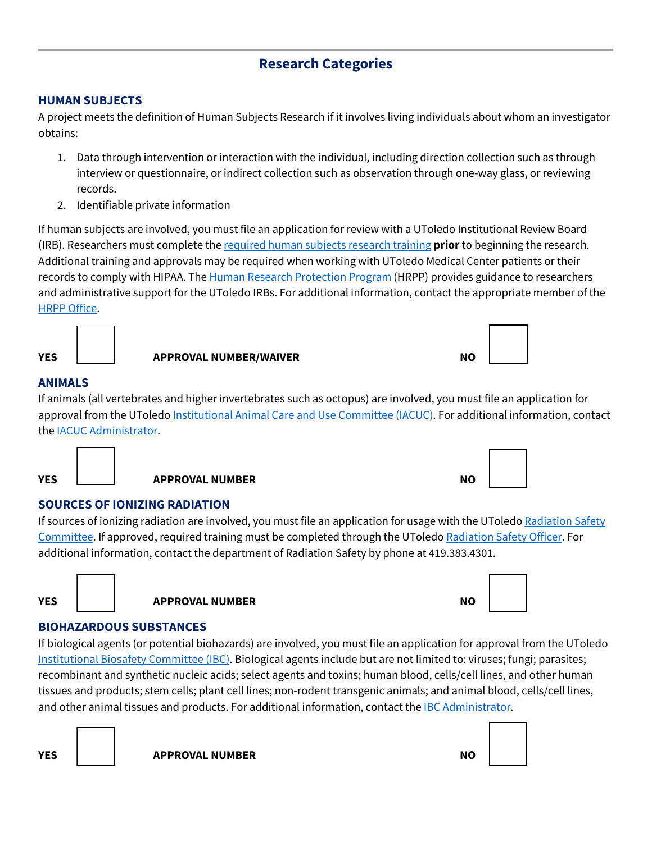# **Research Categories**

### **HUMAN SUBJECTS**

A project meets the definition of Human Subjects Research if it involves living individuals about whom an investigator obtains:

- 1. Data through intervention or interaction with the individual, including direction collection such as through interview or questionnaire, or indirect collection such as observation through one-way glass, or reviewing records.
- 2. Identifiable private information

If human subjects are involved, you must file an application for review with a UToledo Institutional Review Board (IRB). Researchers must complete th[e required human subjects research training](https://www.utoledo.edu/research/rsp/irb/training.html) **prior** to beginning the research. records to comply with HIPAA. The <u>Human Research Protection Program</u> (HRPP) provides guidance to researchers **[HRPP Office](https://www.utoledo.edu/research/rsp/irb/StaffIRB.html).** Additional training and approvals may be required when working with UToledo Medical Center patients or their and administrative support for the UToledo IRBs. For additional information, contact the appropriate member of the



| $\overline{\phantom{a}}$ |  |  |  |
|--------------------------|--|--|--|
|                          |  |  |  |
|                          |  |  |  |
|                          |  |  |  |
|                          |  |  |  |
|                          |  |  |  |
|                          |  |  |  |
|                          |  |  |  |
|                          |  |  |  |

### **ANIMALS**

If animals (all vertebrates and higher invertebrates such as octopus) are involved, you must file an application for approval from the UToledo *Institutional Animal Care and Use Committee (IACUC)*. For additional information, contact the <u>IACUC Administrator</u>.





## **SOURCES OF IONIZING RADIATION**

If sources of ionizing radiation are involved, you must file an application for usage with the UToledo Radiation Safety [Committee.](http://www.utoledo.edu/depts/safety/Radiation/Training.html) If approved, required training must be completed through the UToledo [Radiation Safety Officer.](mailto:joseph.agosti@utoledo.edu) For additional information, contact the department of Radiation Safety by phone at 419.383.4301.



## **YES**  $\vert$  **APPROVAL NUMBER** APPOVAL ALL APPOVAL ALL AND A ROUGHLY AND A ROUGHLY A ROUGHLY AND A ROUGHLY ASSOCIATED A ROUGHLY AND A ROUGHLY ASSOCIATED A ROUGHLY AND A ROUGHLY ASSOCIATED A ROUGHLY AND A ROUGHLY A ROUGHLY A



### **BIOHAZARDOUS SUBSTANCES**

If biological agents (or potential biohazards) are involved, you must file an application for approval from the UToledo [Institutional Biosafety Committee](http://www.utoledo.edu/research/rsp/RC/biosafety-faq.html) (IBC) . Biological agents include but are not limited to: viruses; fungi; parasites; and other animal tissues and products. For additional information, contact the <u>IBC Administrator</u>. recombinant and synthetic nucleic acids; select agents and toxins; human blood, cells/cell lines, and other human tissues and products; stem cells; plant cell lines; non-rodent transgenic animals; and animal blood, cells/cell lines,

**YES APPROVAL NUMBER NO**